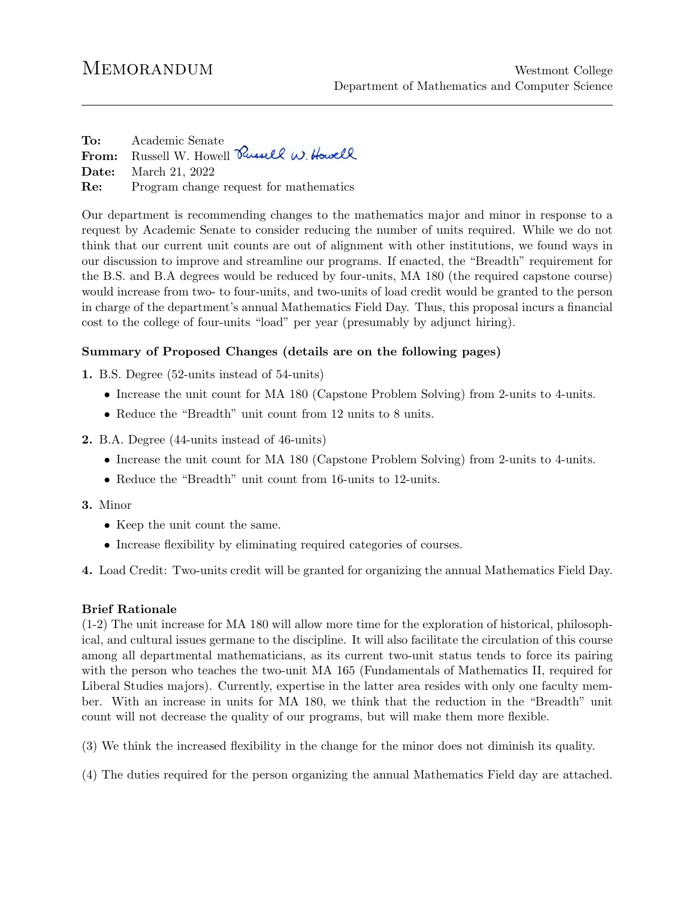To: Academic Senate From: Russell W. Howell Russell W. Howell Date: March 21, 2022 Re: Program change request for mathematics

Our department is recommending changes to the mathematics major and minor in response to a request by Academic Senate to consider reducing the number of units required. While we do not think that our current unit counts are out of alignment with other institutions, we found ways in our discussion to improve and streamline our programs. If enacted, the "Breadth" requirement for the B.S. and B.A degrees would be reduced by four-units, MA 180 (the required capstone course) would increase from two- to four-units, and two-units of load credit would be granted to the person in charge of the department's annual Mathematics Field Day. Thus, this proposal incurs a financial cost to the college of four-units "load" per year (presumably by adjunct hiring).

## Summary of Proposed Changes (details are on the following pages)

1. B.S. Degree (52-units instead of 54-units)

- Increase the unit count for MA 180 (Capstone Problem Solving) from 2-units to 4-units.
- Reduce the "Breadth" unit count from 12 units to 8 units.

## 2. B.A. Degree (44-units instead of 46-units)

- Increase the unit count for MA 180 (Capstone Problem Solving) from 2-units to 4-units.
- Reduce the "Breadth" unit count from 16-units to 12-units.

## 3. Minor

- Keep the unit count the same.
- Increase flexibility by eliminating required categories of courses.

4. Load Credit: Two-units credit will be granted for organizing the annual Mathematics Field Day.

## Brief Rationale

(1-2) The unit increase for MA 180 will allow more time for the exploration of historical, philosophical, and cultural issues germane to the discipline. It will also facilitate the circulation of this course among all departmental mathematicians, as its current two-unit status tends to force its pairing with the person who teaches the two-unit MA 165 (Fundamentals of Mathematics II, required for Liberal Studies majors). Currently, expertise in the latter area resides with only one faculty member. With an increase in units for MA 180, we think that the reduction in the "Breadth" unit count will not decrease the quality of our programs, but will make them more flexible.

(3) We think the increased flexibility in the change for the minor does not diminish its quality.

(4) The duties required for the person organizing the annual Mathematics Field day are attached.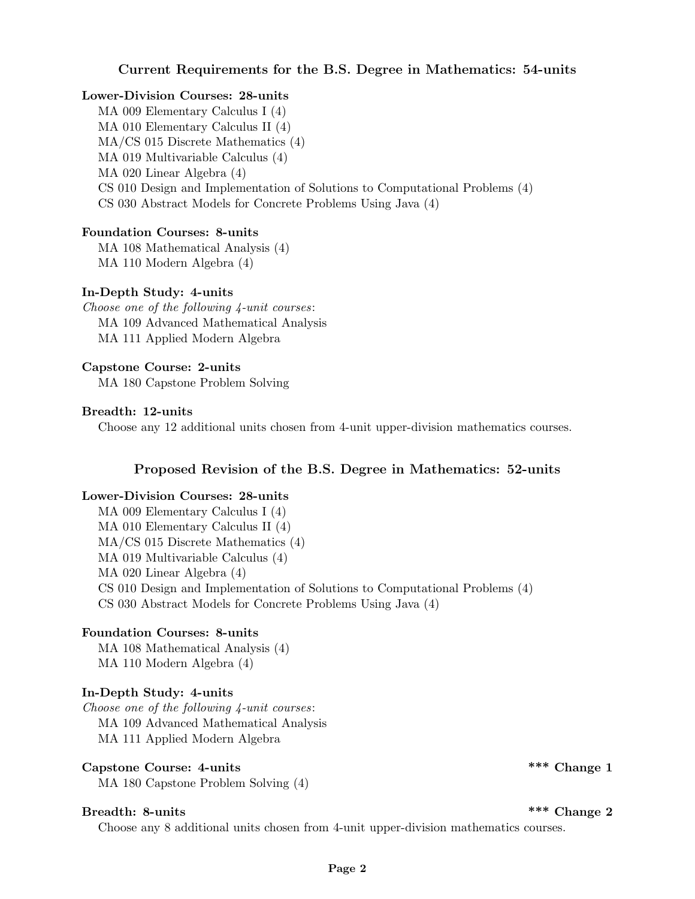## Current Requirements for the B.S. Degree in Mathematics: 54-units

#### Lower-Division Courses: 28-units

MA 009 Elementary Calculus I (4) MA 010 Elementary Calculus II (4) MA/CS 015 Discrete Mathematics (4) MA 019 Multivariable Calculus (4) MA 020 Linear Algebra (4) CS 010 Design and Implementation of Solutions to Computational Problems (4) CS 030 Abstract Models for Concrete Problems Using Java (4)

## Foundation Courses: 8-units

MA 108 Mathematical Analysis (4) MA 110 Modern Algebra (4)

### In-Depth Study: 4-units

Choose one of the following 4-unit courses: MA 109 Advanced Mathematical Analysis MA 111 Applied Modern Algebra

### Capstone Course: 2-units

MA 180 Capstone Problem Solving

#### Breadth: 12-units

Choose any 12 additional units chosen from 4-unit upper-division mathematics courses.

## Proposed Revision of the B.S. Degree in Mathematics: 52-units

#### Lower-Division Courses: 28-units

MA 009 Elementary Calculus I (4) MA 010 Elementary Calculus II (4) MA/CS 015 Discrete Mathematics (4) MA 019 Multivariable Calculus (4) MA 020 Linear Algebra (4) CS 010 Design and Implementation of Solutions to Computational Problems (4) CS 030 Abstract Models for Concrete Problems Using Java (4)

#### Foundation Courses: 8-units

MA 108 Mathematical Analysis (4) MA 110 Modern Algebra (4)

## In-Depth Study: 4-units

Choose one of the following 4-unit courses: MA 109 Advanced Mathematical Analysis MA 111 Applied Modern Algebra

# Capstone Course: 4-units  $\star$  \*\*\* Change 1

MA 180 Capstone Problem Solving (4)

## Breadth: 8-units  $***$  Change 2

Choose any 8 additional units chosen from 4-unit upper-division mathematics courses.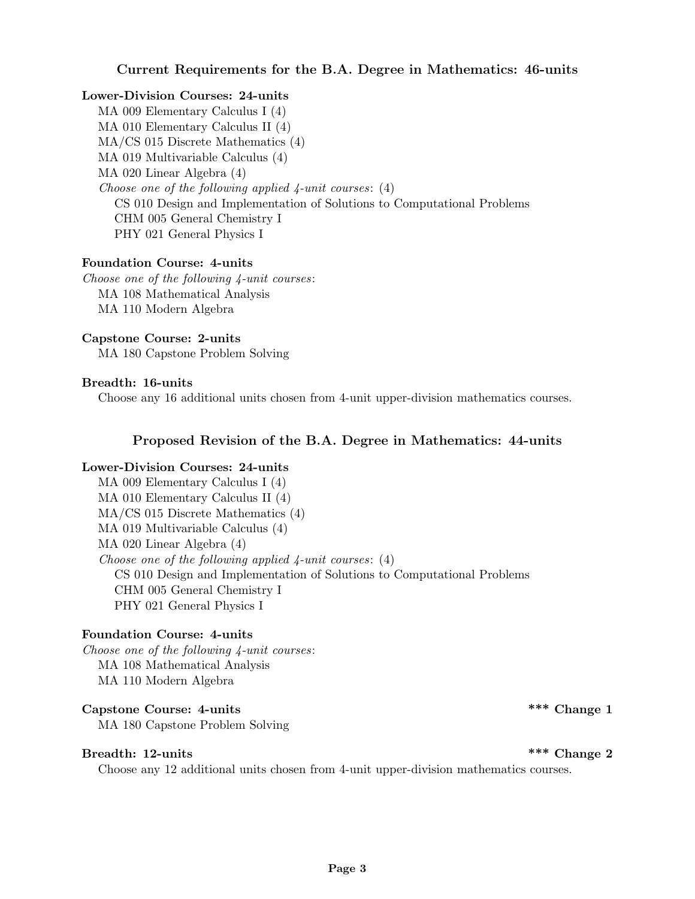## Current Requirements for the B.A. Degree in Mathematics: 46-units

## Lower-Division Courses: 24-units

MA 009 Elementary Calculus I (4) MA 010 Elementary Calculus II (4) MA/CS 015 Discrete Mathematics (4) MA 019 Multivariable Calculus (4) MA 020 Linear Algebra (4) Choose one of the following applied 4-unit courses: (4) CS 010 Design and Implementation of Solutions to Computational Problems CHM 005 General Chemistry I PHY 021 General Physics I

## Foundation Course: 4-units

Choose one of the following 4-unit courses: MA 108 Mathematical Analysis MA 110 Modern Algebra

### Capstone Course: 2-units

MA 180 Capstone Problem Solving

## Breadth: 16-units

Choose any 16 additional units chosen from 4-unit upper-division mathematics courses.

## Proposed Revision of the B.A. Degree in Mathematics: 44-units

## Lower-Division Courses: 24-units

MA 009 Elementary Calculus I (4) MA 010 Elementary Calculus II (4) MA/CS 015 Discrete Mathematics (4) MA 019 Multivariable Calculus (4) MA 020 Linear Algebra (4) Choose one of the following applied  $\ell_1$ -unit courses: (4) CS 010 Design and Implementation of Solutions to Computational Problems CHM 005 General Chemistry I PHY 021 General Physics I

## Foundation Course: 4-units

Choose one of the following 4-unit courses: MA 108 Mathematical Analysis MA 110 Modern Algebra

# Capstone Course: 4-units  $\overset{***}{\text{Change 1}}$

MA 180 Capstone Problem Solving

# Breadth: 12-units  $***$  Change 2

Choose any 12 additional units chosen from 4-unit upper-division mathematics courses.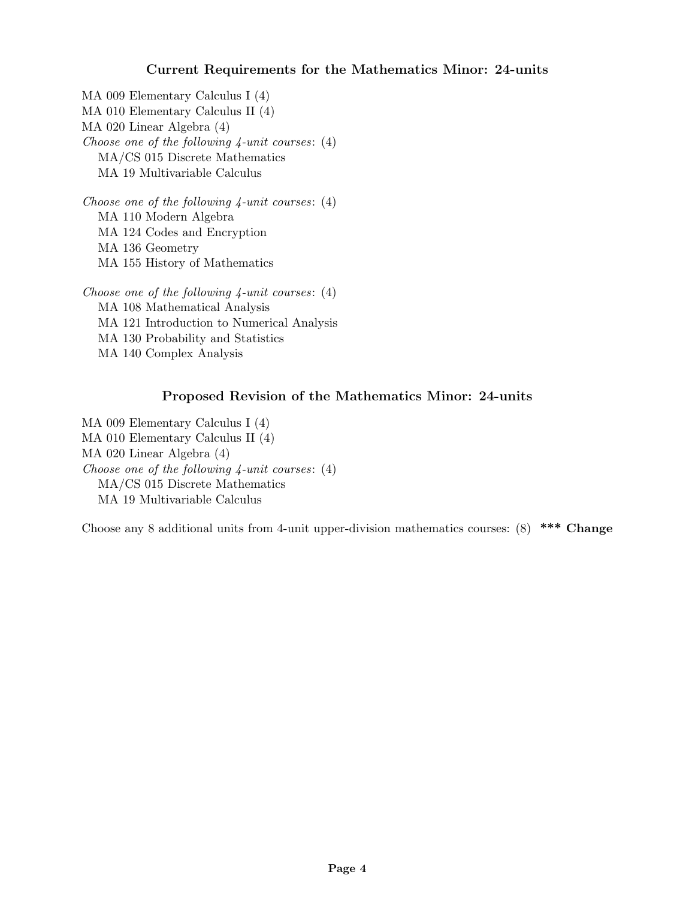# Current Requirements for the Mathematics Minor: 24-units

MA 009 Elementary Calculus I (4) MA 010 Elementary Calculus II (4) MA 020 Linear Algebra (4) Choose one of the following  $4$ -unit courses:  $(4)$ MA/CS 015 Discrete Mathematics MA 19 Multivariable Calculus

Choose one of the following  $\varphi$ -unit courses: (4) MA 110 Modern Algebra MA 124 Codes and Encryption MA 136 Geometry MA 155 History of Mathematics

Choose one of the following  $4$ -unit courses:  $(4)$ MA 108 Mathematical Analysis MA 121 Introduction to Numerical Analysis MA 130 Probability and Statistics MA 140 Complex Analysis

# Proposed Revision of the Mathematics Minor: 24-units

MA 009 Elementary Calculus I (4) MA 010 Elementary Calculus II (4) MA 020 Linear Algebra (4) Choose one of the following  $\chi$ -unit courses: (4) MA/CS 015 Discrete Mathematics MA 19 Multivariable Calculus

Choose any 8 additional units from 4-unit upper-division mathematics courses: (8) \*\*\* Change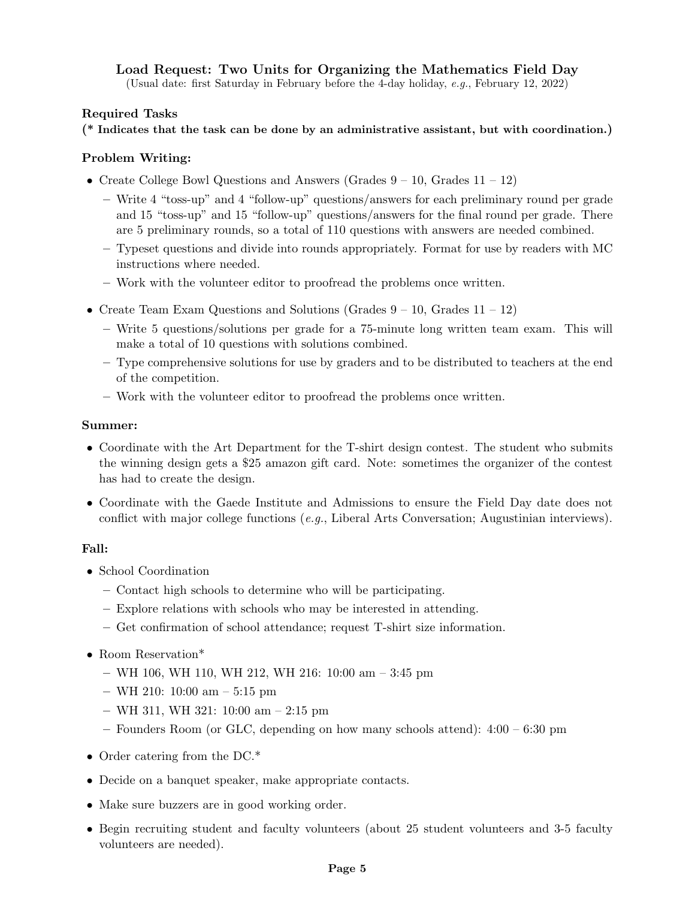# Load Request: Two Units for Organizing the Mathematics Field Day

(Usual date: first Saturday in February before the 4-day holiday, e.g., February 12, 2022)

## Required Tasks

(\* Indicates that the task can be done by an administrative assistant, but with coordination.)

## Problem Writing:

- Create College Bowl Questions and Answers (Grades  $9 10$ , Grades  $11 12$ )
	- Write 4 "toss-up" and 4 "follow-up" questions/answers for each preliminary round per grade and 15 "toss-up" and 15 "follow-up" questions/answers for the final round per grade. There are 5 preliminary rounds, so a total of 110 questions with answers are needed combined.
	- Typeset questions and divide into rounds appropriately. Format for use by readers with MC instructions where needed.
	- Work with the volunteer editor to proofread the problems once written.
- Create Team Exam Questions and Solutions (Grades  $9 10$ , Grades  $11 12$ )
	- Write 5 questions/solutions per grade for a 75-minute long written team exam. This will make a total of 10 questions with solutions combined.
	- Type comprehensive solutions for use by graders and to be distributed to teachers at the end of the competition.
	- Work with the volunteer editor to proofread the problems once written.

### Summer:

- Coordinate with the Art Department for the T-shirt design contest. The student who submits the winning design gets a \$25 amazon gift card. Note: sometimes the organizer of the contest has had to create the design.
- Coordinate with the Gaede Institute and Admissions to ensure the Field Day date does not conflict with major college functions  $(e, q)$ , Liberal Arts Conversation; Augustinian interviews).

## Fall:

- School Coordination
	- Contact high schools to determine who will be participating.
	- Explore relations with schools who may be interested in attending.
	- Get confirmation of school attendance; request T-shirt size information.
- Room Reservation\*
	- WH 106, WH 110, WH 212, WH 216: 10:00 am 3:45 pm
	- WH 210: 10:00 am 5:15 pm
	- WH 311, WH 321: 10:00 am 2:15 pm
	- Founders Room (or GLC, depending on how many schools attend): 4:00 6:30 pm
- Order catering from the DC.<sup>\*</sup>
- Decide on a banquet speaker, make appropriate contacts.
- Make sure buzzers are in good working order.
- Begin recruiting student and faculty volunteers (about 25 student volunteers and 3-5 faculty volunteers are needed).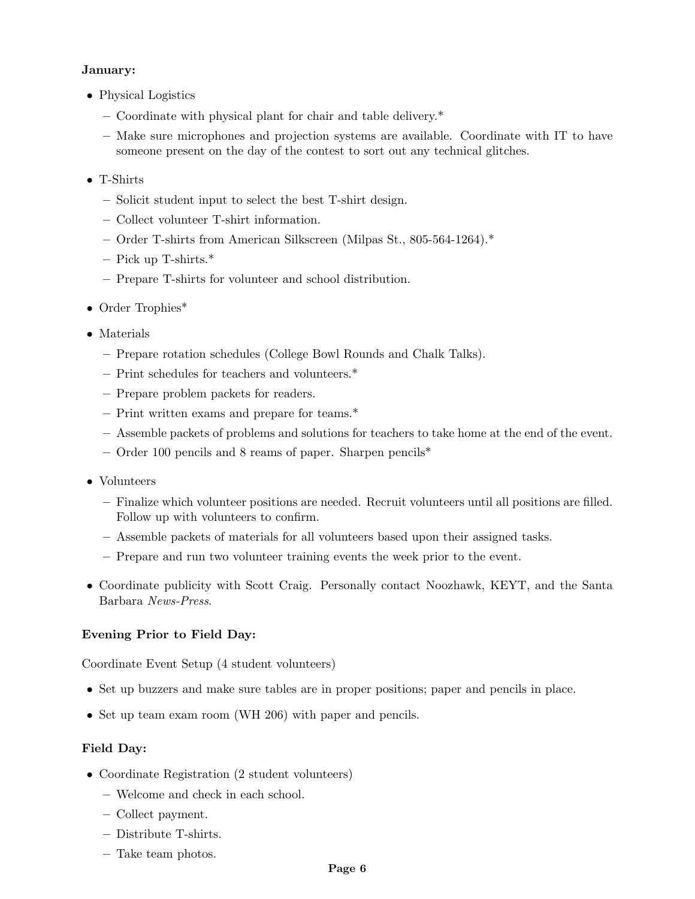## January:

- Physical Logistics
	- Coordinate with physical plant for chair and table delivery.\*
	- Make sure microphones and projection systems are available. Coordinate with IT to have someone present on the day of the contest to sort out any technical glitches.
- T-Shirts
	- Solicit student input to select the best T-shirt design.
	- Collect volunteer T-shirt information.
	- Order T-shirts from American Silkscreen (Milpas St., 805-564-1264).\*
	- Pick up T-shirts.\*
	- Prepare T-shirts for volunteer and school distribution.
- Order Trophies\*
- Materials
	- Prepare rotation schedules (College Bowl Rounds and Chalk Talks).
	- Print schedules for teachers and volunteers.\*
	- Prepare problem packets for readers.
	- Print written exams and prepare for teams.\*
	- Assemble packets of problems and solutions for teachers to take home at the end of the event.
	- Order 100 pencils and 8 reams of paper. Sharpen pencils\*
- Volunteers
	- Finalize which volunteer positions are needed. Recruit volunteers until all positions are filled. Follow up with volunteers to confirm.
	- Assemble packets of materials for all volunteers based upon their assigned tasks.
	- Prepare and run two volunteer training events the week prior to the event.
- Coordinate publicity with Scott Craig. Personally contact Noozhawk, KEYT, and the Santa Barbara News-Press.

## Evening Prior to Field Day:

Coordinate Event Setup (4 student volunteers)

- Set up buzzers and make sure tables are in proper positions; paper and pencils in place.
- Set up team exam room (WH 206) with paper and pencils.

## Field Day:

- Coordinate Registration (2 student volunteers)
	- Welcome and check in each school.
	- Collect payment.
	- Distribute T-shirts.
	- Take team photos.